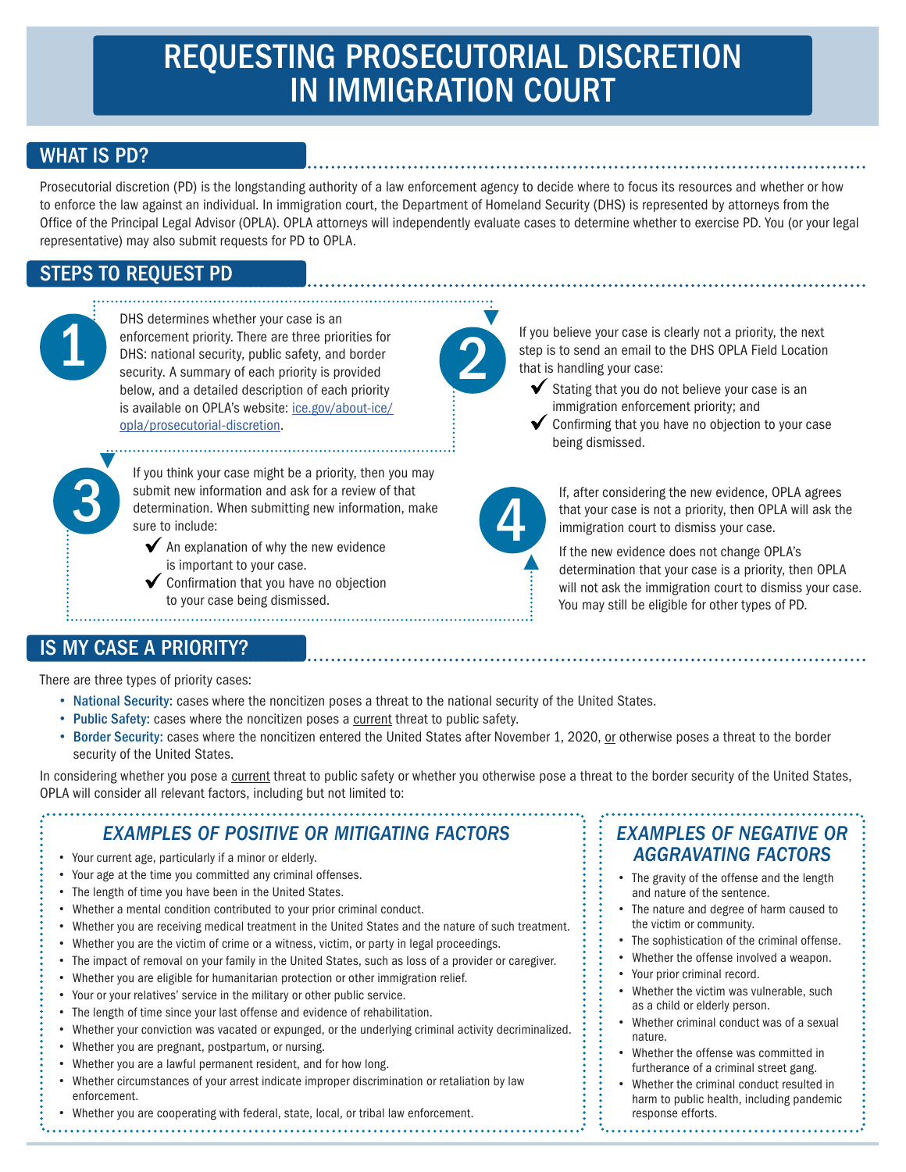# REQUESTING PROSECUTORIAL DISCRETION IN IMMIGRATION COURT

## WHAT IS PD?

Prosecutorial discretion (PD) is the longstanding authority of a law enforcement agency to decide where to focus its resources and whether or how to enforce the law against an individual. In immigration court, the Department of Homeland Security (DHS) is represented by attorneys from the Office of the Principal Legal Advisor (OPLA). OPLA attorneys will independently evaluate cases to determine whether to exercise PD. You (or your legal representative) may also submit requests for PD to OPLA.

## STEPS TO REQUEST PD

 $\blacktriangledown$ 

DHS determines whether your case is an enforcement priority. There are three priorities for DHS: national security, public safety, and border security. A summary of each priority is provided below, and a detailed description of each priority is available on OPLA's website: ice.gov/about-ice/ opla/prosecutorial-discretion. This determines whether your case is an<br>enforcement priority. There are three priorities for<br>DHS: national security, public safety, and border<br>security. A summary of each priority is provided<br>below and a detailed descripti

If you think your case might be a priority, then you may submit new information and ask for a review of that<br>
determination. When submitting new information, make<br>
sure to include:<br>
An explanation of why the new evidence determination. When submitting new information, make sure to include:

- $\blacktriangleright$  An explanation of why the new evidence is important to your case.
- $\blacktriangleright$  Confirmation that you have no objection to your case being dismissed.

If you believe your case is clearly not a priority, the next step is to send an email to the DHS OPLA Field Location that is handling your case:

- Stating that you do not believe your case is an immigration enforcement priority; and
- Confirming that you have no objection to your case being dismissed.

▲

▲

If, after considering the new evidence, OPLA agrees that your case is not a priority, then OPLA will ask the immigration court to dismiss your case.

If the new evidence does not change OPLA's determination that your case is a priority, then OPLA will not ask the immigration court to dismiss your case. You may still be eligible for other types of PD.

#### IS MY CASE A PRIORITY?

There are three types of priority cases:

- National Security: cases where the noncitizen poses a threat to the national security of the United States.
- Public Safety: cases where the noncitizen poses a current threat to public safety.
- Border Security: cases where the noncitizen entered the United States after November 1, 2020, or otherwise poses a threat to the border security of the United States.

In considering whether you pose a current threat to public safety or whether you otherwise pose a threat to the border security of the United States, OPLA will consider all relevant factors, including but not limited to:

#### *EXAMPLES OF POSITIVE OR MITIGATING FACTORS*

- Your current age, particularly if a minor or elderly.
- Your age at the time you committed any criminal offenses.
- The length of time you have been in the United States.
- Whether a mental condition contributed to your prior criminal conduct.
- Whether you are receiving medical treatment in the United States and the nature of such treatment.
- Whether you are the victim of crime or a witness, victim, or party in legal proceedings.
- The impact of removal on your family in the United States, such as loss of a provider or caregiver.
- Whether you are eligible for humanitarian protection or other immigration relief.
- Your or your relatives' service in the military or other public service.
- The length of time since your last offense and evidence of rehabilitation.
- Whether your conviction was vacated or expunged, or the underlying criminal activity decriminalized.
- Whether you are pregnant, postpartum, or nursing.
- Whether you are a lawful permanent resident, and for how long.
- Whether circumstances of your arrest indicate improper discrimination or retaliation by law enforcement.

#### • Whether you are cooperating with federal, state, local, or tribal law enforcement.

### *EXAMPLES OF NEGATIVE OR AGGRAVATING FACTORS*

- The gravity of the offense and the length and nature of the sentence.
- The nature and degree of harm caused to the victim or community.
- The sophistication of the criminal offense.
- Whether the offense involved a weapon.
- Your prior criminal record.
- Whether the victim was vulnerable, such as a child or elderly person.
- Whether criminal conduct was of a sexual nature.
- Whether the offense was committed in furtherance of a criminal street gang.
- Whether the criminal conduct resulted in harm to public health, including pandemic response efforts.